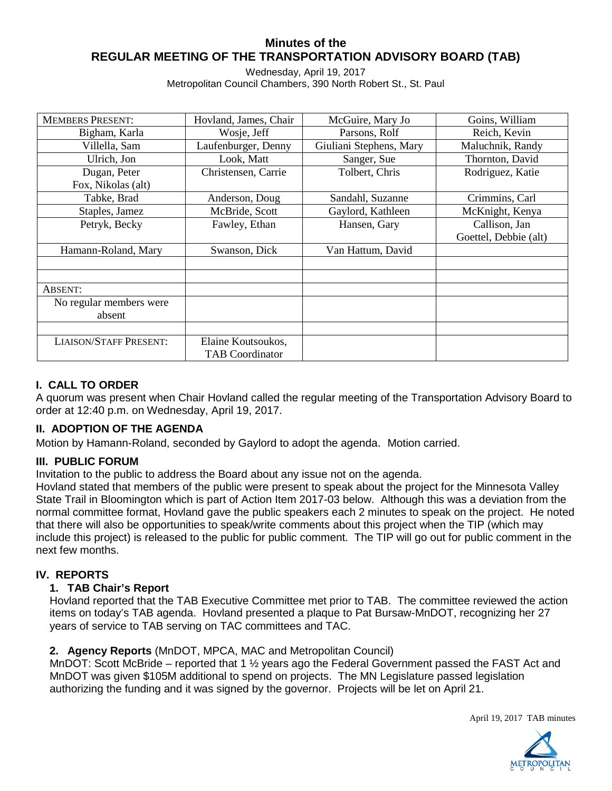## **Minutes of the REGULAR MEETING OF THE TRANSPORTATION ADVISORY BOARD (TAB)**

Wednesday, April 19, 2017 Metropolitan Council Chambers, 390 North Robert St., St. Paul

| <b>MEMBERS PRESENT:</b>       | Hovland, James, Chair  | McGuire, Mary Jo        | Goins, William        |
|-------------------------------|------------------------|-------------------------|-----------------------|
| Bigham, Karla                 | Wosje, Jeff            | Parsons, Rolf           | Reich, Kevin          |
| Villella, Sam                 | Laufenburger, Denny    | Giuliani Stephens, Mary | Maluchnik, Randy      |
| Ulrich, Jon                   | Look, Matt             | Sanger, Sue             | Thornton, David       |
| Dugan, Peter                  | Christensen, Carrie    | Tolbert, Chris          | Rodriguez, Katie      |
| Fox, Nikolas (alt)            |                        |                         |                       |
| Tabke, Brad                   | Anderson, Doug         | Sandahl, Suzanne        | Crimmins, Carl        |
| Staples, Jamez                | McBride, Scott         | Gaylord, Kathleen       | McKnight, Kenya       |
| Petryk, Becky                 | Fawley, Ethan          | Hansen, Gary            | Callison, Jan         |
|                               |                        |                         | Goettel, Debbie (alt) |
| Hamann-Roland, Mary           | Swanson, Dick          | Van Hattum, David       |                       |
|                               |                        |                         |                       |
|                               |                        |                         |                       |
| ABSENT:                       |                        |                         |                       |
| No regular members were       |                        |                         |                       |
| absent                        |                        |                         |                       |
|                               |                        |                         |                       |
| <b>LIAISON/STAFF PRESENT:</b> | Elaine Koutsoukos,     |                         |                       |
|                               | <b>TAB Coordinator</b> |                         |                       |

# **I. CALL TO ORDER**

A quorum was present when Chair Hovland called the regular meeting of the Transportation Advisory Board to order at 12:40 p.m. on Wednesday, April 19, 2017.

## **II. ADOPTION OF THE AGENDA**

Motion by Hamann-Roland, seconded by Gaylord to adopt the agenda. Motion carried.

### **III. PUBLIC FORUM**

Invitation to the public to address the Board about any issue not on the agenda.

Hovland stated that members of the public were present to speak about the project for the Minnesota Valley State Trail in Bloomington which is part of Action Item 2017-03 below. Although this was a deviation from the normal committee format, Hovland gave the public speakers each 2 minutes to speak on the project. He noted that there will also be opportunities to speak/write comments about this project when the TIP (which may include this project) is released to the public for public comment. The TIP will go out for public comment in the next few months.

### **IV. REPORTS**

### **1. TAB Chair's Report**

Hovland reported that the TAB Executive Committee met prior to TAB. The committee reviewed the action items on today's TAB agenda. Hovland presented a plaque to Pat Bursaw-MnDOT, recognizing her 27 years of service to TAB serving on TAC committees and TAC.

### **2. Agency Reports** (MnDOT, MPCA, MAC and Metropolitan Council)

MnDOT: Scott McBride – reported that 1 ½ years ago the Federal Government passed the FAST Act and MnDOT was given \$105M additional to spend on projects. The MN Legislature passed legislation authorizing the funding and it was signed by the governor. Projects will be let on April 21.

April 19, 2017 TAB minutes

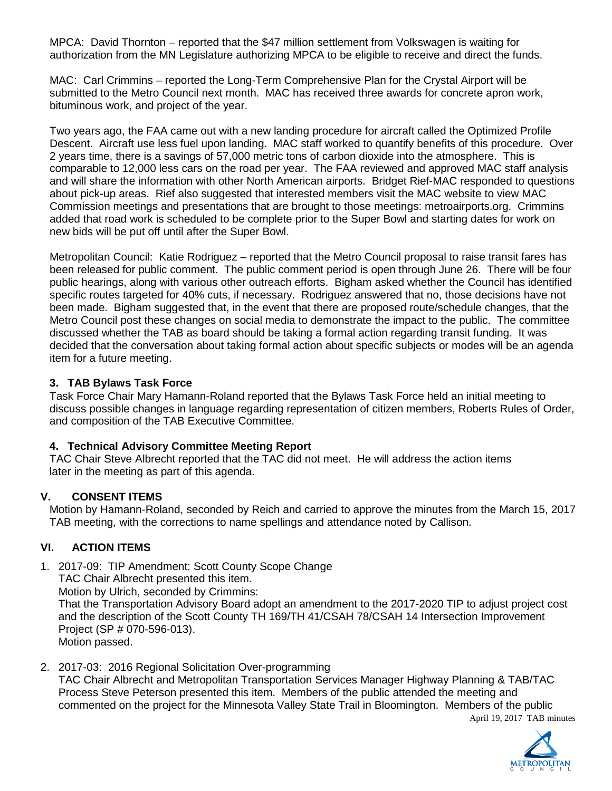MPCA: David Thornton – reported that the \$47 million settlement from Volkswagen is waiting for authorization from the MN Legislature authorizing MPCA to be eligible to receive and direct the funds.

MAC: Carl Crimmins – reported the Long-Term Comprehensive Plan for the Crystal Airport will be submitted to the Metro Council next month. MAC has received three awards for concrete apron work, bituminous work, and project of the year.

Two years ago, the FAA came out with a new landing procedure for aircraft called the Optimized Profile Descent. Aircraft use less fuel upon landing. MAC staff worked to quantify benefits of this procedure. Over 2 years time, there is a savings of 57,000 metric tons of carbon dioxide into the atmosphere. This is comparable to 12,000 less cars on the road per year. The FAA reviewed and approved MAC staff analysis and will share the information with other North American airports. Bridget Rief-MAC responded to questions about pick-up areas. Rief also suggested that interested members visit the MAC website to view MAC Commission meetings and presentations that are brought to those meetings: metroairports.org. Crimmins added that road work is scheduled to be complete prior to the Super Bowl and starting dates for work on new bids will be put off until after the Super Bowl.

Metropolitan Council: Katie Rodriguez – reported that the Metro Council proposal to raise transit fares has been released for public comment. The public comment period is open through June 26. There will be four public hearings, along with various other outreach efforts. Bigham asked whether the Council has identified specific routes targeted for 40% cuts, if necessary. Rodriguez answered that no, those decisions have not been made. Bigham suggested that, in the event that there are proposed route/schedule changes, that the Metro Council post these changes on social media to demonstrate the impact to the public. The committee discussed whether the TAB as board should be taking a formal action regarding transit funding. It was decided that the conversation about taking formal action about specific subjects or modes will be an agenda item for a future meeting.

### **3. TAB Bylaws Task Force**

Task Force Chair Mary Hamann-Roland reported that the Bylaws Task Force held an initial meeting to discuss possible changes in language regarding representation of citizen members, Roberts Rules of Order, and composition of the TAB Executive Committee.

## **4. Technical Advisory Committee Meeting Report**

TAC Chair Steve Albrecht reported that the TAC did not meet. He will address the action items later in the meeting as part of this agenda.

## **V. CONSENT ITEMS**

Motion by Hamann-Roland, seconded by Reich and carried to approve the minutes from the March 15, 2017 TAB meeting, with the corrections to name spellings and attendance noted by Callison.

## **VI. ACTION ITEMS**

1. 2017-09: TIP Amendment: Scott County Scope Change

TAC Chair Albrecht presented this item.

Motion by Ulrich, seconded by Crimmins:

That the Transportation Advisory Board adopt an amendment to the 2017-2020 TIP to adjust project cost and the description of the Scott County TH 169/TH 41/CSAH 78/CSAH 14 Intersection Improvement Project (SP # 070-596-013).

Motion passed.

2. 2017-03: 2016 Regional Solicitation Over-programming

TAC Chair Albrecht and Metropolitan Transportation Services Manager Highway Planning & TAB/TAC Process Steve Peterson presented this item. Members of the public attended the meeting and commented on the project for the Minnesota Valley State Trail in Bloomington. Members of the public



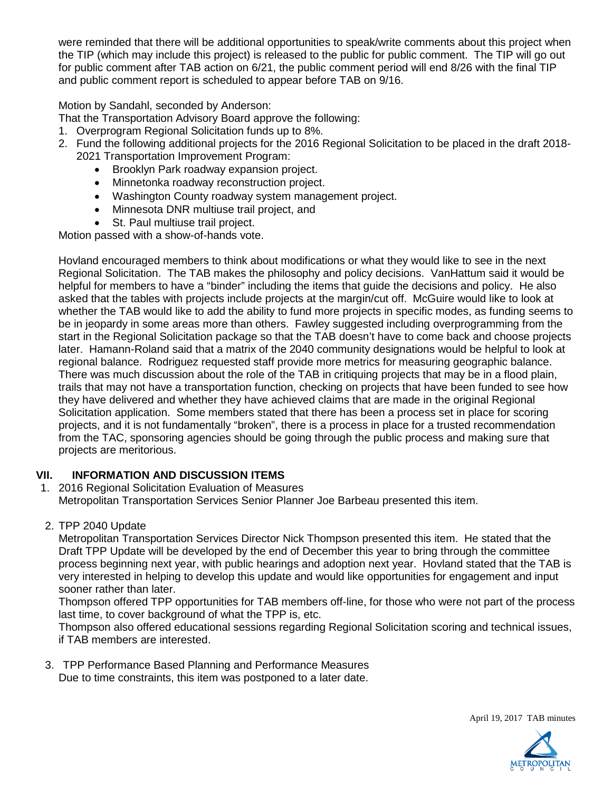were reminded that there will be additional opportunities to speak/write comments about this project when the TIP (which may include this project) is released to the public for public comment. The TIP will go out for public comment after TAB action on 6/21, the public comment period will end 8/26 with the final TIP and public comment report is scheduled to appear before TAB on 9/16.

### Motion by Sandahl, seconded by Anderson:

That the Transportation Advisory Board approve the following:

- 1. Overprogram Regional Solicitation funds up to 8%.
- 2. Fund the following additional projects for the 2016 Regional Solicitation to be placed in the draft 2018- 2021 Transportation Improvement Program:
	- Brooklyn Park roadway expansion project.
	- Minnetonka roadway reconstruction project.
	- Washington County roadway system management project.
	- Minnesota DNR multiuse trail project, and
	- St. Paul multiuse trail project.

Motion passed with a show-of-hands vote.

Hovland encouraged members to think about modifications or what they would like to see in the next Regional Solicitation. The TAB makes the philosophy and policy decisions. VanHattum said it would be helpful for members to have a "binder" including the items that guide the decisions and policy. He also asked that the tables with projects include projects at the margin/cut off. McGuire would like to look at whether the TAB would like to add the ability to fund more projects in specific modes, as funding seems to be in jeopardy in some areas more than others. Fawley suggested including overprogramming from the start in the Regional Solicitation package so that the TAB doesn't have to come back and choose projects later. Hamann-Roland said that a matrix of the 2040 community designations would be helpful to look at regional balance. Rodriguez requested staff provide more metrics for measuring geographic balance. There was much discussion about the role of the TAB in critiquing projects that may be in a flood plain, trails that may not have a transportation function, checking on projects that have been funded to see how they have delivered and whether they have achieved claims that are made in the original Regional Solicitation application. Some members stated that there has been a process set in place for scoring projects, and it is not fundamentally "broken", there is a process in place for a trusted recommendation from the TAC, sponsoring agencies should be going through the public process and making sure that projects are meritorious.

## **VII. INFORMATION AND DISCUSSION ITEMS**

- 1. 2016 Regional Solicitation Evaluation of Measures Metropolitan Transportation Services Senior Planner Joe Barbeau presented this item.
- 2. TPP 2040 Update

Metropolitan Transportation Services Director Nick Thompson presented this item. He stated that the Draft TPP Update will be developed by the end of December this year to bring through the committee process beginning next year, with public hearings and adoption next year. Hovland stated that the TAB is very interested in helping to develop this update and would like opportunities for engagement and input sooner rather than later.

Thompson offered TPP opportunities for TAB members off-line, for those who were not part of the process last time, to cover background of what the TPP is, etc.

Thompson also offered educational sessions regarding Regional Solicitation scoring and technical issues, if TAB members are interested.

3. TPP Performance Based Planning and Performance Measures Due to time constraints, this item was postponed to a later date.